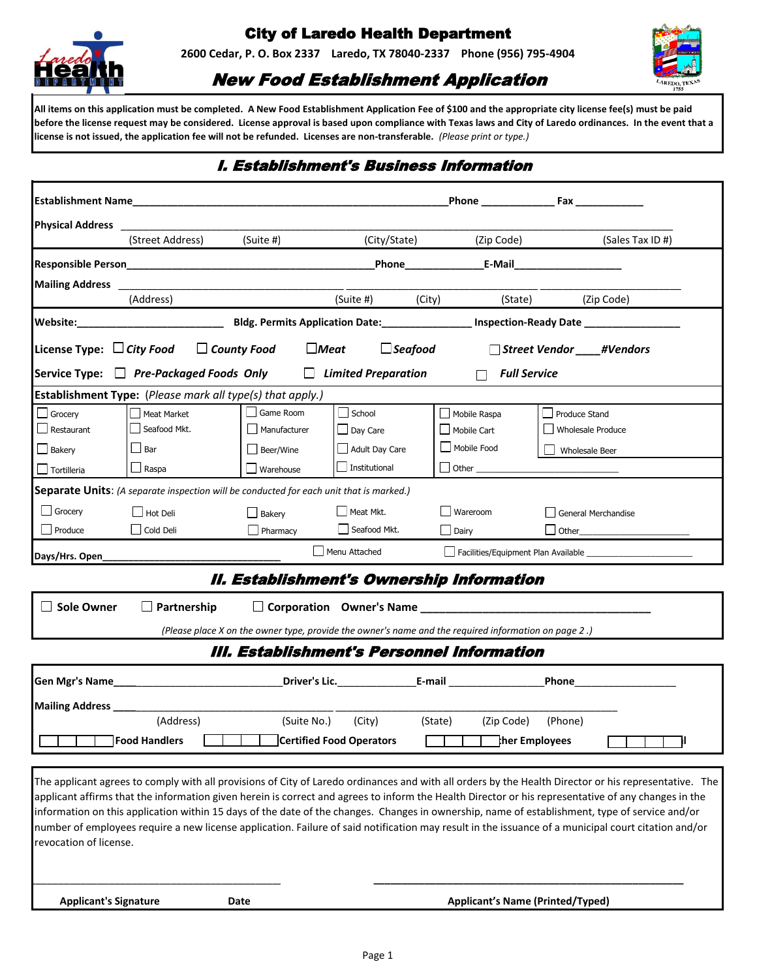

# City of Laredo Health Department

**2600 Cedar, P. O. Box 2337 Laredo, TX 78040-2337 Phone (956) 795-4904**



## New Food Establishment Application

**All items on this application must be completed. A New Food Establishment Application Fee of \$100 and the appropriate city license fee(s) must be paid before the license request may be considered. License approval is based upon compliance with Texas laws and City of Laredo ordinances. In the event that a license is not issued, the application fee will not be refunded. Licenses are non-transferable.** *(Please print or type.)*

### I. Establishment's Business Information

|                                |                                                                                                |                  |                            |                                                                                                      | Phone Fax                                                                                                                                                                                                                                                                                                                                                                                                                                                                                                                                                                                                             |
|--------------------------------|------------------------------------------------------------------------------------------------|------------------|----------------------------|------------------------------------------------------------------------------------------------------|-----------------------------------------------------------------------------------------------------------------------------------------------------------------------------------------------------------------------------------------------------------------------------------------------------------------------------------------------------------------------------------------------------------------------------------------------------------------------------------------------------------------------------------------------------------------------------------------------------------------------|
|                                | (Street Address)                                                                               | (Suite #)        |                            |                                                                                                      | (City/State) (Zip Code) (Sales Tax ID #)                                                                                                                                                                                                                                                                                                                                                                                                                                                                                                                                                                              |
|                                |                                                                                                |                  |                            |                                                                                                      |                                                                                                                                                                                                                                                                                                                                                                                                                                                                                                                                                                                                                       |
|                                |                                                                                                |                  |                            |                                                                                                      |                                                                                                                                                                                                                                                                                                                                                                                                                                                                                                                                                                                                                       |
| Mailing Address ___________    | (Address)                                                                                      |                  | (Suite #) (City)           |                                                                                                      | (State) (Zip Code)                                                                                                                                                                                                                                                                                                                                                                                                                                                                                                                                                                                                    |
|                                |                                                                                                |                  |                            |                                                                                                      |                                                                                                                                                                                                                                                                                                                                                                                                                                                                                                                                                                                                                       |
| License Type: $\Box$ City Food | $\Box$ County Food                                                                             | $Meat$           | $\Box$ Seafood             |                                                                                                      | □ Street Vendor #Vendors                                                                                                                                                                                                                                                                                                                                                                                                                                                                                                                                                                                              |
|                                | Service Type: □ Pre-Packaged Foods Only                                                        |                  | $\Box$ Limited Preparation | $\Box$                                                                                               | <b>Full Service</b>                                                                                                                                                                                                                                                                                                                                                                                                                                                                                                                                                                                                   |
|                                | Establishment Type: (Please mark all type(s) that apply.)                                      |                  |                            |                                                                                                      |                                                                                                                                                                                                                                                                                                                                                                                                                                                                                                                                                                                                                       |
| $\Box$ Grocery                 | Meat Market                                                                                    | Game Room        | School                     | Mobile Raspa                                                                                         | Produce Stand                                                                                                                                                                                                                                                                                                                                                                                                                                                                                                                                                                                                         |
| $\Box$ Restaurant              | Seafood Mkt.                                                                                   | Manufacturer     | $\Box$ Day Care            | Mobile Cart                                                                                          | Wholesale Produce                                                                                                                                                                                                                                                                                                                                                                                                                                                                                                                                                                                                     |
| $\Box$ Bakery                  | $\Box$ Bar                                                                                     | Beer/Wine        | Adult Day Care             | Mobile Food                                                                                          | Wholesale Beer                                                                                                                                                                                                                                                                                                                                                                                                                                                                                                                                                                                                        |
| $\Box$ Tortilleria             | $\Box$ Raspa                                                                                   | $\Box$ Warehouse | Institutional              |                                                                                                      |                                                                                                                                                                                                                                                                                                                                                                                                                                                                                                                                                                                                                       |
|                                | <b>Separate Units:</b> (A separate inspection will be conducted for each unit that is marked.) |                  |                            |                                                                                                      |                                                                                                                                                                                                                                                                                                                                                                                                                                                                                                                                                                                                                       |
| $\Box$ Grocery                 | $\Box$ Hot Deli                                                                                | Bakery           | $\Box$ Meat Mkt.           | Wareroom                                                                                             | General Merchandise                                                                                                                                                                                                                                                                                                                                                                                                                                                                                                                                                                                                   |
| Produce                        | Cold Deli                                                                                      | $\Box$ Pharmacy  | Seafood Mkt.               | $\Box$ Dairy                                                                                         |                                                                                                                                                                                                                                                                                                                                                                                                                                                                                                                                                                                                                       |
| Days/Hrs. Open____             |                                                                                                |                  | Menu Attached              |                                                                                                      | Facilities/Equipment Plan Available                                                                                                                                                                                                                                                                                                                                                                                                                                                                                                                                                                                   |
|                                |                                                                                                |                  |                            | II. Establishment's Ownership Information                                                            |                                                                                                                                                                                                                                                                                                                                                                                                                                                                                                                                                                                                                       |
| □ Sole Owner                   |                                                                                                |                  |                            |                                                                                                      |                                                                                                                                                                                                                                                                                                                                                                                                                                                                                                                                                                                                                       |
|                                | $\Box$ Partnership                                                                             |                  |                            |                                                                                                      |                                                                                                                                                                                                                                                                                                                                                                                                                                                                                                                                                                                                                       |
|                                |                                                                                                |                  |                            | (Please place X on the owner type, provide the owner's name and the required information on page 2.) |                                                                                                                                                                                                                                                                                                                                                                                                                                                                                                                                                                                                                       |
|                                |                                                                                                |                  |                            | III. Establishment's Personnel Information                                                           |                                                                                                                                                                                                                                                                                                                                                                                                                                                                                                                                                                                                                       |
|                                |                                                                                                |                  |                            |                                                                                                      | Priver's Lic. The E-mail Phone Phone Phone Phone Phone Phone Phone Phone Phone Phone Phone Phone Phone Phone Phone Phone Phone Phone Phone Phone Phone Phone Phone Phone Phone Phone Phone Phone Phone Phone Phone Phone Phone                                                                                                                                                                                                                                                                                                                                                                                        |
|                                |                                                                                                |                  |                            |                                                                                                      |                                                                                                                                                                                                                                                                                                                                                                                                                                                                                                                                                                                                                       |
|                                | (Address)                                                                                      | (Suite No.)      | (City)                     | (State)<br>(Zip Code)                                                                                | (Phone)                                                                                                                                                                                                                                                                                                                                                                                                                                                                                                                                                                                                               |
|                                | Food Handlers                                                                                  |                  | Certified Food Operators   |                                                                                                      | ther Employees                                                                                                                                                                                                                                                                                                                                                                                                                                                                                                                                                                                                        |
|                                |                                                                                                |                  |                            |                                                                                                      |                                                                                                                                                                                                                                                                                                                                                                                                                                                                                                                                                                                                                       |
| revocation of license.         |                                                                                                |                  |                            |                                                                                                      | The applicant agrees to comply with all provisions of City of Laredo ordinances and with all orders by the Health Director or his representative. The<br>applicant affirms that the information given herein is correct and agrees to inform the Health Director or his representative of any changes in the<br>information on this application within 15 days of the date of the changes. Changes in ownership, name of establishment, type of service and/or<br>number of employees require a new license application. Failure of said notification may result in the issuance of a municipal court citation and/or |
| <b>Applicant's Signature</b>   |                                                                                                | Date             |                            | <b>Applicant's Name (Printed/Typed)</b>                                                              |                                                                                                                                                                                                                                                                                                                                                                                                                                                                                                                                                                                                                       |